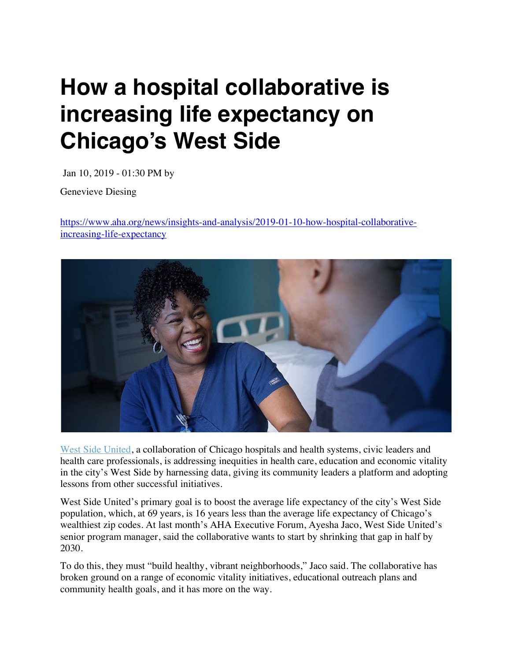## **How a hospital collaborative is increasing life expectancy on Chicago's West Side**

Jan 10, 2019 - 01:30 PM by

Genevieve Diesing

https://www.aha.org/news/insights-and-analysis/2019-01-10-how-hospital-collaborativeincreasing-life-expectancy



West Side United, a collaboration of Chicago hospitals and health systems, civic leaders and health care professionals, is addressing inequities in health care, education and economic vitality in the city's West Side by harnessing data, giving its community leaders a platform and adopting lessons from other successful initiatives.

West Side United's primary goal is to boost the average life expectancy of the city's West Side population, which, at 69 years, is 16 years less than the average life expectancy of Chicago's wealthiest zip codes. At last month's AHA Executive Forum, Ayesha Jaco, West Side United's senior program manager, said the collaborative wants to start by shrinking that gap in half by 2030.

To do this, they must "build healthy, vibrant neighborhoods," Jaco said. The collaborative has broken ground on a range of economic vitality initiatives, educational outreach plans and community health goals, and it has more on the way.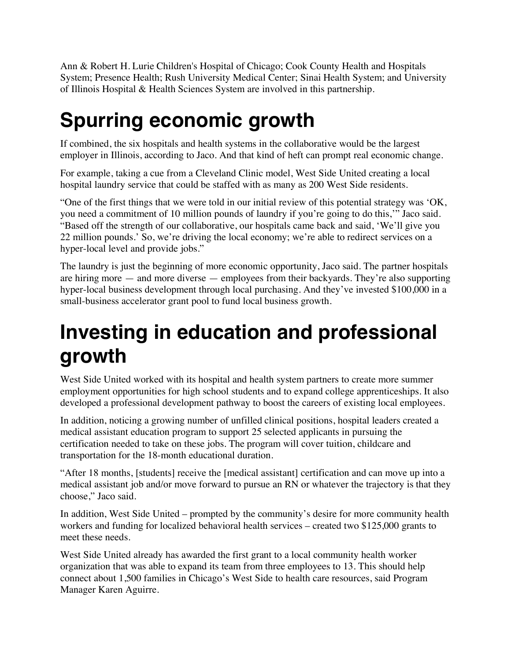Ann & Robert H. Lurie Children's Hospital of Chicago; Cook County Health and Hospitals System; Presence Health; Rush University Medical Center; Sinai Health System; and University of Illinois Hospital & Health Sciences System are involved in this partnership.

## **Spurring economic growth**

If combined, the six hospitals and health systems in the collaborative would be the largest employer in Illinois, according to Jaco. And that kind of heft can prompt real economic change.

For example, taking a cue from a Cleveland Clinic model, West Side United creating a local hospital laundry service that could be staffed with as many as 200 West Side residents.

"One of the first things that we were told in our initial review of this potential strategy was 'OK, you need a commitment of 10 million pounds of laundry if you're going to do this,'" Jaco said. "Based off the strength of our collaborative, our hospitals came back and said, 'We'll give you 22 million pounds.' So, we're driving the local economy; we're able to redirect services on a hyper-local level and provide jobs."

The laundry is just the beginning of more economic opportunity, Jaco said. The partner hospitals are hiring more — and more diverse — employees from their backyards. They're also supporting hyper-local business development through local purchasing. And they've invested \$100,000 in a small-business accelerator grant pool to fund local business growth.

## **Investing in education and professional growth**

West Side United worked with its hospital and health system partners to create more summer employment opportunities for high school students and to expand college apprenticeships. It also developed a professional development pathway to boost the careers of existing local employees.

In addition, noticing a growing number of unfilled clinical positions, hospital leaders created a medical assistant education program to support 25 selected applicants in pursuing the certification needed to take on these jobs. The program will cover tuition, childcare and transportation for the 18-month educational duration.

"After 18 months, [students] receive the [medical assistant] certification and can move up into a medical assistant job and/or move forward to pursue an RN or whatever the trajectory is that they choose," Jaco said.

In addition, West Side United – prompted by the community's desire for more community health workers and funding for localized behavioral health services – created two \$125,000 grants to meet these needs.

West Side United already has awarded the first grant to a local community health worker organization that was able to expand its team from three employees to 13. This should help connect about 1,500 families in Chicago's West Side to health care resources, said Program Manager Karen Aguirre.